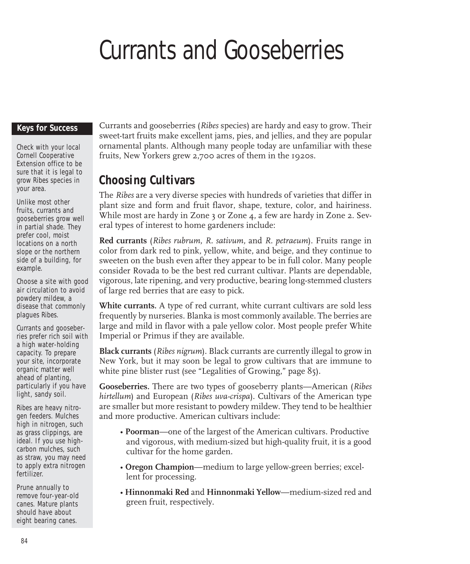# Currants and Gooseberries

#### **Keys for Success**

Check with your local Cornell Cooperative Extension office to be sure that it is legal to grow *Ribes* species in your area.

Unlike most other fruits, currants and gooseberries grow well in partial shade. They prefer cool, moist locations on a north slope or the northern side of a building, for example.

Choose a site with good air circulation to avoid powdery mildew, a disease that commonly plagues *Ribes*.

Currants and gooseberries prefer rich soil with a high water-holding capacity. To prepare your site, incorporate organic matter well ahead of planting, particularly if you have light, sandy soil.

*Ribes* are heavy nitrogen feeders. Mulches high in nitrogen, such as grass clippings, are ideal. If you use highcarbon mulches, such as straw, you may need to apply extra nitrogen fertilizer.

Prune annually to remove four-year-old canes. Mature plants should have about eight bearing canes.

Currants and gooseberries (*Ribes* species) are hardy and easy to grow. Their sweet-tart fruits make excellent jams, pies, and jellies, and they are popular ornamental plants. Although many people today are unfamiliar with these fruits, New Yorkers grew 2,700 acres of them in the 1920s.

### **Choosing Cultivars**

The *Ribes* are a very diverse species with hundreds of varieties that differ in plant size and form and fruit flavor, shape, texture, color, and hairiness. While most are hardy in Zone 3 or Zone 4, a few are hardy in Zone 2. Several types of interest to home gardeners include:

**Red currants** (*Ribes rubrum, R. sativum,* and *R. petraeum*). Fruits range in color from dark red to pink, yellow, white, and beige, and they continue to sweeten on the bush even after they appear to be in full color. Many people consider Rovada to be the best red currant cultivar. Plants are dependable, vigorous, late ripening, and very productive, bearing long-stemmed clusters of large red berries that are easy to pick.

**White currants.** A type of red currant, white currant cultivars are sold less frequently by nurseries. Blanka is most commonly available. The berries are large and mild in flavor with a pale yellow color. Most people prefer White Imperial or Primus if they are available.

**Black currants** (*Ribes nigrum*). Black currants are currently illegal to grow in New York, but it may soon be legal to grow cultivars that are immune to white pine blister rust (see "Legalities of Growing," page 85).

**Gooseberries.** There are two types of gooseberry plants—American (*Ribes hirtellum*) and European (*Ribes uva-crispa*). Cultivars of the American type are smaller but more resistant to powdery mildew. They tend to be healthier and more productive. American cultivars include:

- **Poorman**—one of the largest of the American cultivars. Productive and vigorous, with medium-sized but high-quality fruit, it is a good cultivar for the home garden.
- **Oregon Champion**—medium to large yellow-green berries; excellent for processing.
- **Hinnonmaki Red** and **Hinnonmaki Yellow**—medium-sized red and green fruit, respectively.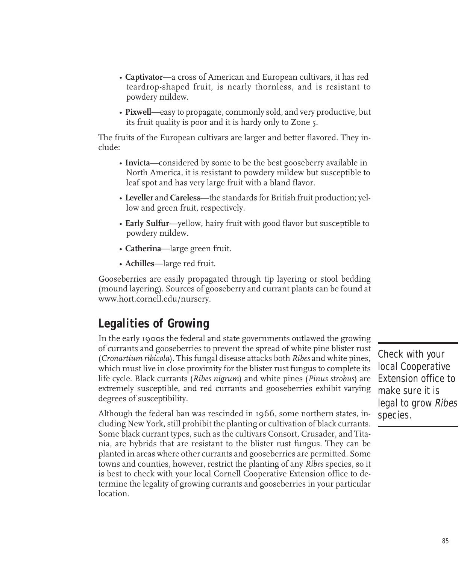- • **Captivator**—a cross of American and European cultivars, it has red teardrop-shaped fruit, is nearly thornless, and is resistant to powdery mildew.
- **Pixwell—easy to propagate, commonly sold, and very productive, but** its fruit quality is poor and it is hardy only to Zone 5.

The fruits of the European cultivars are larger and better flavored. They include:

- **Invicta**—considered by some to be the best gooseberry available in North America, it is resistant to powdery mildew but susceptible to leaf spot and has very large fruit with a bland flavor.
- • **Leveller** and **Careless**—the standards for British fruit production; yellow and green fruit, respectively.
- • **Early Sulfur**—yellow, hairy fruit with good flavor but susceptible to powdery mildew.
- • **Catherina**—large green fruit.
- • **Achilles**—large red fruit.

Gooseberries are easily propagated through tip layering or stool bedding (mound layering). Sources of gooseberry and currant plants can be found at www.hort.cornell.edu/nursery.

# **Legalities of Growing**

In the early 1900s the federal and state governments outlawed the growing of currants and gooseberries to prevent the spread of white pine blister rust (*Cronartium ribicola*). This fungal disease attacks both *Ribes* and white pines, which must live in close proximity for the blister rust fungus to complete its life cycle. Black currants (*Ribes nigrum*) and white pines (*Pinus strobus*) are extremely susceptible, and red currants and gooseberries exhibit varying degrees of susceptibility.

Although the federal ban was rescinded in 1966, some northern states, including New York, still prohibit the planting or cultivation of black currants. Some black currant types, such as the cultivars Consort, Crusader, and Titania, are hybrids that are resistant to the blister rust fungus. They can be planted in areas where other currants and gooseberries are permitted. Some towns and counties, however, restrict the planting of any *Ribes* species, so it is best to check with your local Cornell Cooperative Extension office to determine the legality of growing currants and gooseberries in your particular location.

Check with your local Cooperative Extension office to make sure it is legal to grow Ribes species.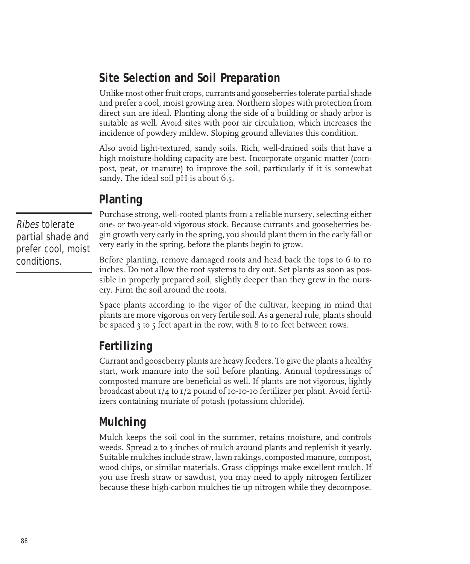# **Site Selection and Soil Preparation**

Unlike most other fruit crops, currants and gooseberries tolerate partial shade and prefer a cool, moist growing area. Northern slopes with protection from direct sun are ideal. Planting along the side of a building or shady arbor is suitable as well. Avoid sites with poor air circulation, which increases the incidence of powdery mildew. Sloping ground alleviates this condition.

Also avoid light-textured, sandy soils. Rich, well-drained soils that have a high moisture-holding capacity are best. Incorporate organic matter (compost, peat, or manure) to improve the soil, particularly if it is somewhat sandy. The ideal soil pH is about 6.5.

#### **Planting**

Purchase strong, well-rooted plants from a reliable nursery, selecting either one- or two-year-old vigorous stock. Because currants and gooseberries begin growth very early in the spring, you should plant them in the early fall or very early in the spring, before the plants begin to grow.

Before planting, remove damaged roots and head back the tops to 6 to 10 inches. Do not allow the root systems to dry out. Set plants as soon as possible in properly prepared soil, slightly deeper than they grew in the nursery. Firm the soil around the roots.

Space plants according to the vigor of the cultivar, keeping in mind that plants are more vigorous on very fertile soil. As a general rule, plants should be spaced 3 to 5 feet apart in the row, with 8 to 10 feet between rows.

#### **Fertilizing**

Currant and gooseberry plants are heavy feeders. To give the plants a healthy start, work manure into the soil before planting. Annual topdressings of composted manure are beneficial as well. If plants are not vigorous, lightly broadcast about 1/4 to 1/2 pound of 10-10-10 fertilizer per plant. Avoid fertilizers containing muriate of potash (potassium chloride).

#### **Mulching**

Mulch keeps the soil cool in the summer, retains moisture, and controls weeds. Spread 2 to 3 inches of mulch around plants and replenish it yearly. Suitable mulches include straw, lawn rakings, composted manure, compost, wood chips, or similar materials. Grass clippings make excellent mulch. If you use fresh straw or sawdust, you may need to apply nitrogen fertilizer because these high-carbon mulches tie up nitrogen while they decompose.

Ribes tolerate partial shade and prefer cool, moist conditions.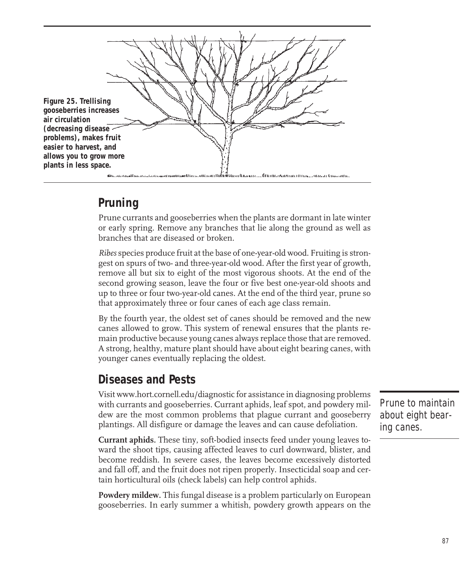

### **Pruning**

Prune currants and gooseberries when the plants are dormant in late winter or early spring. Remove any branches that lie along the ground as well as branches that are diseased or broken.

*Ribes* species produce fruit at the base of one-year-old wood. Fruiting is strongest on spurs of two- and three-year-old wood. After the first year of growth, remove all but six to eight of the most vigorous shoots. At the end of the second growing season, leave the four or five best one-year-old shoots and up to three or four two-year-old canes. At the end of the third year, prune so that approximately three or four canes of each age class remain.

By the fourth year, the oldest set of canes should be removed and the new canes allowed to grow. This system of renewal ensures that the plants remain productive because young canes always replace those that are removed. A strong, healthy, mature plant should have about eight bearing canes, with younger canes eventually replacing the oldest.

# **Diseases and Pests**

Visit www.hort.cornell.edu/diagnostic for assistance in diagnosing problems with currants and gooseberries. Currant aphids, leaf spot, and powdery mildew are the most common problems that plague currant and gooseberry plantings. All disfigure or damage the leaves and can cause defoliation.

**Currant aphids.** These tiny, soft-bodied insects feed under young leaves toward the shoot tips, causing affected leaves to curl downward, blister, and become reddish. In severe cases, the leaves become excessively distorted and fall off, and the fruit does not ripen properly. Insecticidal soap and certain horticultural oils (check labels) can help control aphids.

**Powdery mildew.** This fungal disease is a problem particularly on European gooseberries. In early summer a whitish, powdery growth appears on the Prune to maintain about eight bearing canes.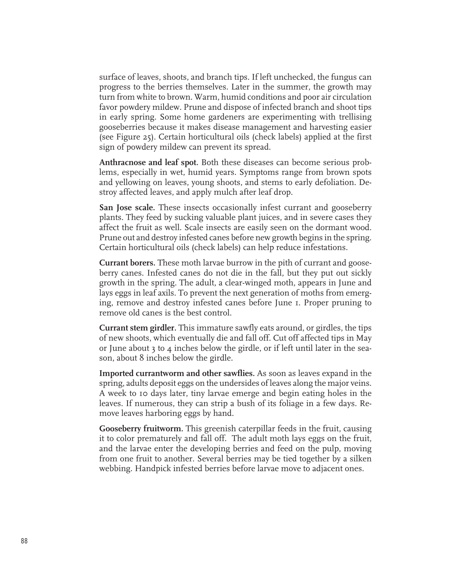surface of leaves, shoots, and branch tips. If left unchecked, the fungus can progress to the berries themselves. Later in the summer, the growth may turn from white to brown. Warm, humid conditions and poor air circulation favor powdery mildew. Prune and dispose of infected branch and shoot tips in early spring. Some home gardeners are experimenting with trellising gooseberries because it makes disease management and harvesting easier (see Figure 25). Certain horticultural oils (check labels) applied at the first sign of powdery mildew can prevent its spread.

**Anthracnose and leaf spot.** Both these diseases can become serious problems, especially in wet, humid years. Symptoms range from brown spots and yellowing on leaves, young shoots, and stems to early defoliation. Destroy affected leaves, and apply mulch after leaf drop.

**San Jose scale.** These insects occasionally infest currant and gooseberry plants. They feed by sucking valuable plant juices, and in severe cases they affect the fruit as well. Scale insects are easily seen on the dormant wood. Prune out and destroy infested canes before new growth begins in the spring. Certain horticultural oils (check labels) can help reduce infestations.

**Currant borers.** These moth larvae burrow in the pith of currant and gooseberry canes. Infested canes do not die in the fall, but they put out sickly growth in the spring. The adult, a clear-winged moth, appears in June and lays eggs in leaf axils. To prevent the next generation of moths from emerging, remove and destroy infested canes before June 1. Proper pruning to remove old canes is the best control.

**Currant stem girdler.** This immature sawfly eats around, or girdles, the tips of new shoots, which eventually die and fall off. Cut off affected tips in May or June about 3 to 4 inches below the girdle, or if left until later in the season, about 8 inches below the girdle.

**Imported currantworm and other sawflies.** As soon as leaves expand in the spring, adults deposit eggs on the undersides of leaves along the major veins. A week to 10 days later, tiny larvae emerge and begin eating holes in the leaves. If numerous, they can strip a bush of its foliage in a few days. Remove leaves harboring eggs by hand.

**Gooseberry fruitworm.** This greenish caterpillar feeds in the fruit, causing it to color prematurely and fall off. The adult moth lays eggs on the fruit, and the larvae enter the developing berries and feed on the pulp, moving from one fruit to another. Several berries may be tied together by a silken webbing. Handpick infested berries before larvae move to adjacent ones.